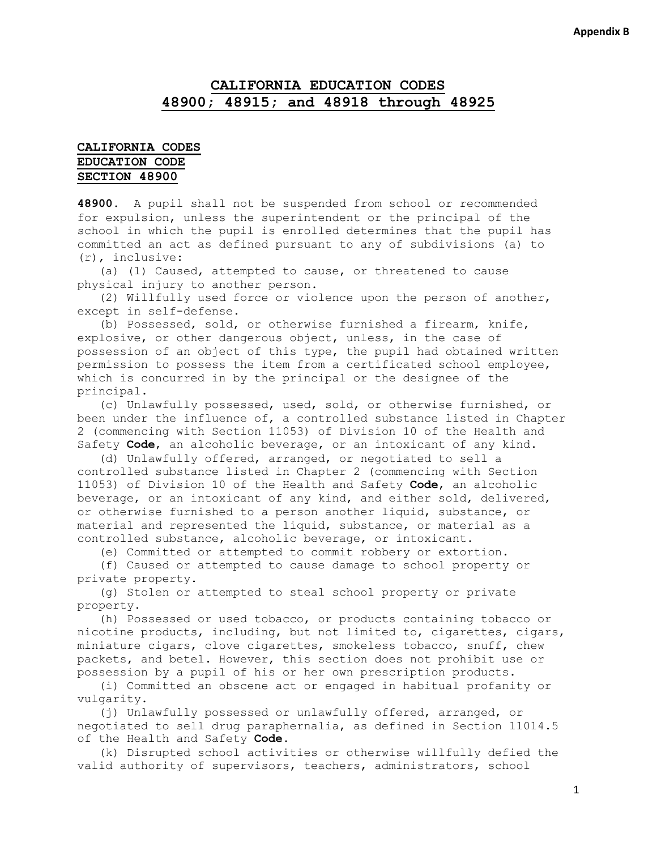# **CALIFORNIA EDUCATION CODES 48900; 48915; and 48918 through 48925**

## **CALIFORNIA CODES EDUCATION CODE SECTION 48900**

**48900.** A pupil shall not be suspended from school or recommended for expulsion, unless the superintendent or the principal of the school in which the pupil is enrolled determines that the pupil has committed an act as defined pursuant to any of subdivisions (a) to (r), inclusive:

 (a) (1) Caused, attempted to cause, or threatened to cause physical injury to another person.

 (2) Willfully used force or violence upon the person of another, except in self-defense.

 (b) Possessed, sold, or otherwise furnished a firearm, knife, explosive, or other dangerous object, unless, in the case of possession of an object of this type, the pupil had obtained written permission to possess the item from a certificated school employee, which is concurred in by the principal or the designee of the principal.

 (c) Unlawfully possessed, used, sold, or otherwise furnished, or been under the influence of, a controlled substance listed in Chapter 2 (commencing with Section 11053) of Division 10 of the Health and Safety **Code**, an alcoholic beverage, or an intoxicant of any kind.

 (d) Unlawfully offered, arranged, or negotiated to sell a controlled substance listed in Chapter 2 (commencing with Section 11053) of Division 10 of the Health and Safety **Code**, an alcoholic beverage, or an intoxicant of any kind, and either sold, delivered, or otherwise furnished to a person another liquid, substance, or material and represented the liquid, substance, or material as a controlled substance, alcoholic beverage, or intoxicant.

(e) Committed or attempted to commit robbery or extortion.

 (f) Caused or attempted to cause damage to school property or private property.

 (g) Stolen or attempted to steal school property or private property.

 (h) Possessed or used tobacco, or products containing tobacco or nicotine products, including, but not limited to, cigarettes, cigars, miniature cigars, clove cigarettes, smokeless tobacco, snuff, chew packets, and betel. However, this section does not prohibit use or possession by a pupil of his or her own prescription products.

 (i) Committed an obscene act or engaged in habitual profanity or vulgarity.

 (j) Unlawfully possessed or unlawfully offered, arranged, or negotiated to sell drug paraphernalia, as defined in Section 11014.5 of the Health and Safety **Code**.

 (k) Disrupted school activities or otherwise willfully defied the valid authority of supervisors, teachers, administrators, school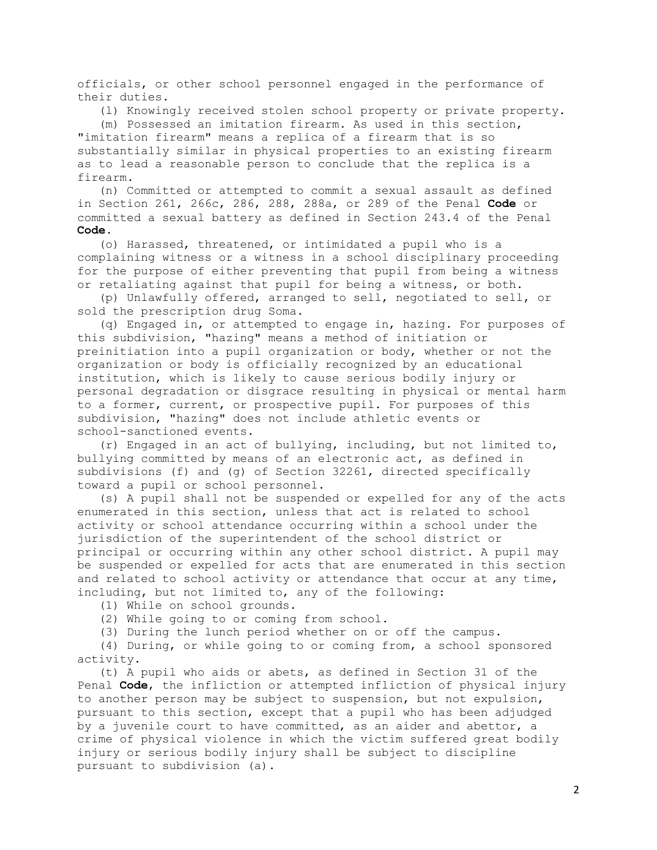officials, or other school personnel engaged in the performance of their duties.

(l) Knowingly received stolen school property or private property.

 (m) Possessed an imitation firearm. As used in this section, "imitation firearm" means a replica of a firearm that is so substantially similar in physical properties to an existing firearm as to lead a reasonable person to conclude that the replica is a firearm.

 (n) Committed or attempted to commit a sexual assault as defined in Section 261, 266c, 286, 288, 288a, or 289 of the Penal **Code** or committed a sexual battery as defined in Section 243.4 of the Penal **Code**.

 (o) Harassed, threatened, or intimidated a pupil who is a complaining witness or a witness in a school disciplinary proceeding for the purpose of either preventing that pupil from being a witness or retaliating against that pupil for being a witness, or both.

 (p) Unlawfully offered, arranged to sell, negotiated to sell, or sold the prescription drug Soma.

 (q) Engaged in, or attempted to engage in, hazing. For purposes of this subdivision, "hazing" means a method of initiation or preinitiation into a pupil organization or body, whether or not the organization or body is officially recognized by an educational institution, which is likely to cause serious bodily injury or personal degradation or disgrace resulting in physical or mental harm to a former, current, or prospective pupil. For purposes of this subdivision, "hazing" does not include athletic events or school-sanctioned events.

 (r) Engaged in an act of bullying, including, but not limited to, bullying committed by means of an electronic act, as defined in subdivisions (f) and (g) of Section 32261, directed specifically toward a pupil or school personnel.

 (s) A pupil shall not be suspended or expelled for any of the acts enumerated in this section, unless that act is related to school activity or school attendance occurring within a school under the jurisdiction of the superintendent of the school district or principal or occurring within any other school district. A pupil may be suspended or expelled for acts that are enumerated in this section and related to school activity or attendance that occur at any time, including, but not limited to, any of the following:

(1) While on school grounds.

(2) While going to or coming from school.

(3) During the lunch period whether on or off the campus.

 (4) During, or while going to or coming from, a school sponsored activity.

 (t) A pupil who aids or abets, as defined in Section 31 of the Penal **Code**, the infliction or attempted infliction of physical injury to another person may be subject to suspension, but not expulsion, pursuant to this section, except that a pupil who has been adjudged by a juvenile court to have committed, as an aider and abettor, a crime of physical violence in which the victim suffered great bodily injury or serious bodily injury shall be subject to discipline pursuant to subdivision (a).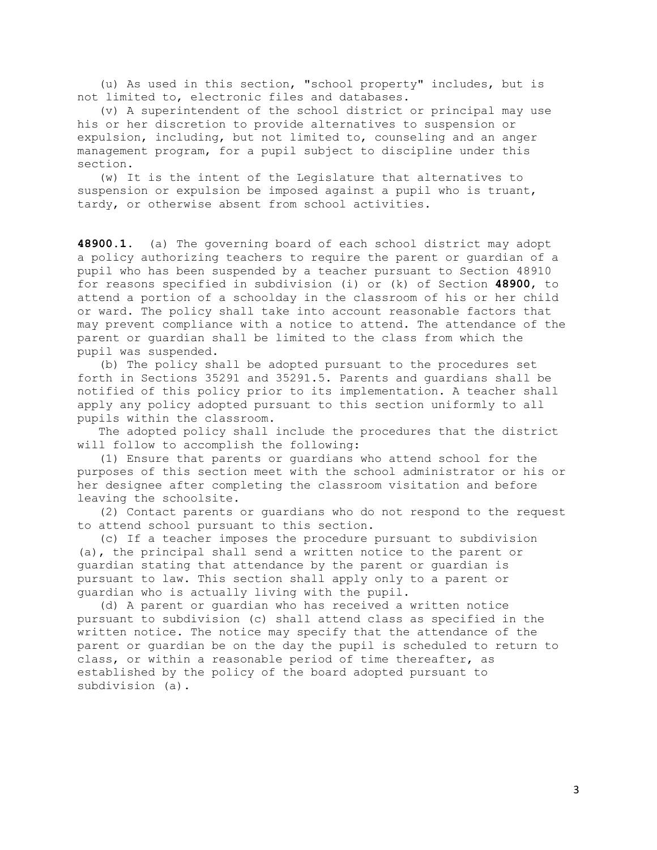(u) As used in this section, "school property" includes, but is not limited to, electronic files and databases.

 (v) A superintendent of the school district or principal may use his or her discretion to provide alternatives to suspension or expulsion, including, but not limited to, counseling and an anger management program, for a pupil subject to discipline under this section.

 (w) It is the intent of the Legislature that alternatives to suspension or expulsion be imposed against a pupil who is truant, tardy, or otherwise absent from school activities.

**48900.1.** (a) The governing board of each school district may adopt a policy authorizing teachers to require the parent or guardian of a pupil who has been suspended by a teacher pursuant to Section 48910 for reasons specified in subdivision (i) or (k) of Section **48900**, to attend a portion of a schoolday in the classroom of his or her child or ward. The policy shall take into account reasonable factors that may prevent compliance with a notice to attend. The attendance of the parent or guardian shall be limited to the class from which the pupil was suspended.

 (b) The policy shall be adopted pursuant to the procedures set forth in Sections 35291 and 35291.5. Parents and guardians shall be notified of this policy prior to its implementation. A teacher shall apply any policy adopted pursuant to this section uniformly to all pupils within the classroom.

 The adopted policy shall include the procedures that the district will follow to accomplish the following:

 (1) Ensure that parents or guardians who attend school for the purposes of this section meet with the school administrator or his or her designee after completing the classroom visitation and before leaving the schoolsite.

 (2) Contact parents or guardians who do not respond to the request to attend school pursuant to this section.

 (c) If a teacher imposes the procedure pursuant to subdivision (a), the principal shall send a written notice to the parent or guardian stating that attendance by the parent or guardian is pursuant to law. This section shall apply only to a parent or guardian who is actually living with the pupil.

 (d) A parent or guardian who has received a written notice pursuant to subdivision (c) shall attend class as specified in the written notice. The notice may specify that the attendance of the parent or guardian be on the day the pupil is scheduled to return to class, or within a reasonable period of time thereafter, as established by the policy of the board adopted pursuant to subdivision (a).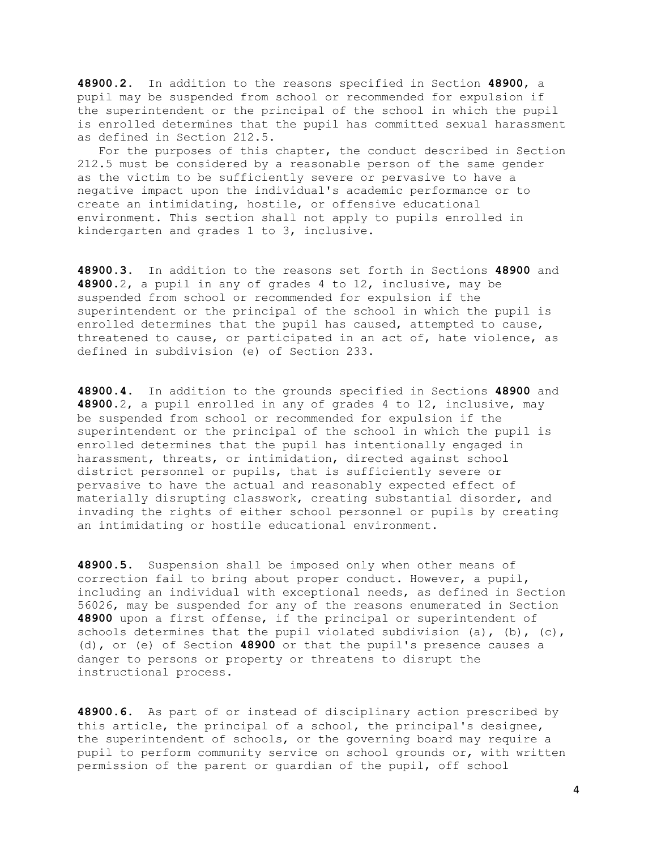**48900.2**. In addition to the reasons specified in Section **48900**, a pupil may be suspended from school or recommended for expulsion if the superintendent or the principal of the school in which the pupil is enrolled determines that the pupil has committed sexual harassment as defined in Section 212.5.

 For the purposes of this chapter, the conduct described in Section 212.5 must be considered by a reasonable person of the same gender as the victim to be sufficiently severe or pervasive to have a negative impact upon the individual's academic performance or to create an intimidating, hostile, or offensive educational environment. This section shall not apply to pupils enrolled in kindergarten and grades 1 to 3, inclusive.

**48900.3.** In addition to the reasons set forth in Sections **48900** and **48900**.2, a pupil in any of grades 4 to 12, inclusive, may be suspended from school or recommended for expulsion if the superintendent or the principal of the school in which the pupil is enrolled determines that the pupil has caused, attempted to cause, threatened to cause, or participated in an act of, hate violence, as defined in subdivision (e) of Section 233.

**48900.4.** In addition to the grounds specified in Sections **48900** and **48900**.2, a pupil enrolled in any of grades 4 to 12, inclusive, may be suspended from school or recommended for expulsion if the superintendent or the principal of the school in which the pupil is enrolled determines that the pupil has intentionally engaged in harassment, threats, or intimidation, directed against school district personnel or pupils, that is sufficiently severe or pervasive to have the actual and reasonably expected effect of materially disrupting classwork, creating substantial disorder, and invading the rights of either school personnel or pupils by creating an intimidating or hostile educational environment.

**48900.5**. Suspension shall be imposed only when other means of correction fail to bring about proper conduct. However, a pupil, including an individual with exceptional needs, as defined in Section 56026, may be suspended for any of the reasons enumerated in Section **48900** upon a first offense, if the principal or superintendent of schools determines that the pupil violated subdivision (a), (b),  $(c)$ , (d), or (e) of Section **48900** or that the pupil's presence causes a danger to persons or property or threatens to disrupt the instructional process.

**48900.6.** As part of or instead of disciplinary action prescribed by this article, the principal of a school, the principal's designee, the superintendent of schools, or the governing board may require a pupil to perform community service on school grounds or, with written permission of the parent or guardian of the pupil, off school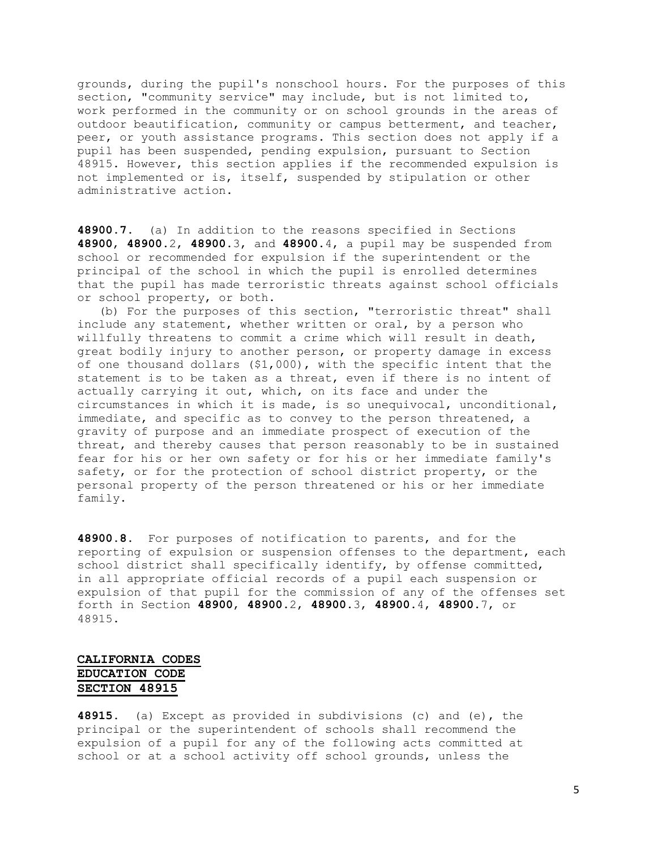grounds, during the pupil's nonschool hours. For the purposes of this section, "community service" may include, but is not limited to, work performed in the community or on school grounds in the areas of outdoor beautification, community or campus betterment, and teacher, peer, or youth assistance programs. This section does not apply if a pupil has been suspended, pending expulsion, pursuant to Section 48915. However, this section applies if the recommended expulsion is not implemented or is, itself, suspended by stipulation or other administrative action.

**48900.7.** (a) In addition to the reasons specified in Sections **48900**, **48900**.2, **48900**.3, and **48900**.4, a pupil may be suspended from school or recommended for expulsion if the superintendent or the principal of the school in which the pupil is enrolled determines that the pupil has made terroristic threats against school officials or school property, or both.

 (b) For the purposes of this section, "terroristic threat" shall include any statement, whether written or oral, by a person who willfully threatens to commit a crime which will result in death, great bodily injury to another person, or property damage in excess of one thousand dollars  $(91,000)$ , with the specific intent that the statement is to be taken as a threat, even if there is no intent of actually carrying it out, which, on its face and under the circumstances in which it is made, is so unequivocal, unconditional, immediate, and specific as to convey to the person threatened, a gravity of purpose and an immediate prospect of execution of the threat, and thereby causes that person reasonably to be in sustained fear for his or her own safety or for his or her immediate family's safety, or for the protection of school district property, or the personal property of the person threatened or his or her immediate family.

**48900.8.** For purposes of notification to parents, and for the reporting of expulsion or suspension offenses to the department, each school district shall specifically identify, by offense committed, in all appropriate official records of a pupil each suspension or expulsion of that pupil for the commission of any of the offenses set forth in Section **48900**, **48900**.2, **48900**.3, **48900**.4, **48900**.7, or 48915.

## **CALIFORNIA CODES EDUCATION CODE SECTION 48915**

**48915.** (a) Except as provided in subdivisions (c) and (e), the principal or the superintendent of schools shall recommend the expulsion of a pupil for any of the following acts committed at school or at a school activity off school grounds, unless the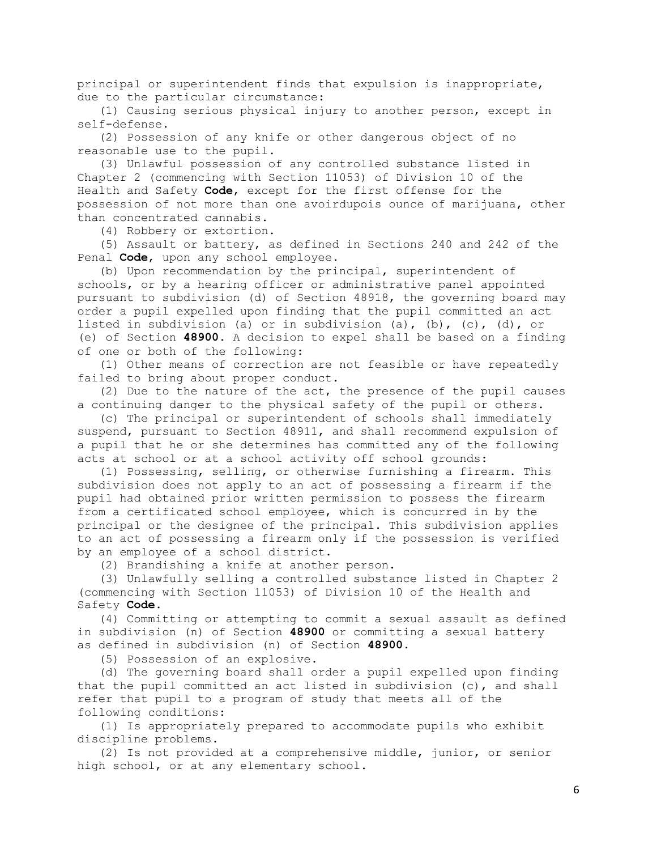principal or superintendent finds that expulsion is inappropriate, due to the particular circumstance:

 (1) Causing serious physical injury to another person, except in self-defense.

 (2) Possession of any knife or other dangerous object of no reasonable use to the pupil.

 (3) Unlawful possession of any controlled substance listed in Chapter 2 (commencing with Section 11053) of Division 10 of the Health and Safety **Code**, except for the first offense for the possession of not more than one avoirdupois ounce of marijuana, other than concentrated cannabis.

(4) Robbery or extortion.

 (5) Assault or battery, as defined in Sections 240 and 242 of the Penal **Code**, upon any school employee.

 (b) Upon recommendation by the principal, superintendent of schools, or by a hearing officer or administrative panel appointed pursuant to subdivision (d) of Section 48918, the governing board may order a pupil expelled upon finding that the pupil committed an act listed in subdivision (a) or in subdivision (a), (b), (c), (d), or (e) of Section **48900**. A decision to expel shall be based on a finding of one or both of the following:

 (1) Other means of correction are not feasible or have repeatedly failed to bring about proper conduct.

 (2) Due to the nature of the act, the presence of the pupil causes a continuing danger to the physical safety of the pupil or others.

 (c) The principal or superintendent of schools shall immediately suspend, pursuant to Section 48911, and shall recommend expulsion of a pupil that he or she determines has committed any of the following acts at school or at a school activity off school grounds:

 (1) Possessing, selling, or otherwise furnishing a firearm. This subdivision does not apply to an act of possessing a firearm if the pupil had obtained prior written permission to possess the firearm from a certificated school employee, which is concurred in by the principal or the designee of the principal. This subdivision applies to an act of possessing a firearm only if the possession is verified by an employee of a school district.

(2) Brandishing a knife at another person.

 (3) Unlawfully selling a controlled substance listed in Chapter 2 (commencing with Section 11053) of Division 10 of the Health and Safety **Code**.

 (4) Committing or attempting to commit a sexual assault as defined in subdivision (n) of Section **48900** or committing a sexual battery as defined in subdivision (n) of Section **48900**.

(5) Possession of an explosive.

 (d) The governing board shall order a pupil expelled upon finding that the pupil committed an act listed in subdivision (c), and shall refer that pupil to a program of study that meets all of the following conditions:

 (1) Is appropriately prepared to accommodate pupils who exhibit discipline problems.

 (2) Is not provided at a comprehensive middle, junior, or senior high school, or at any elementary school.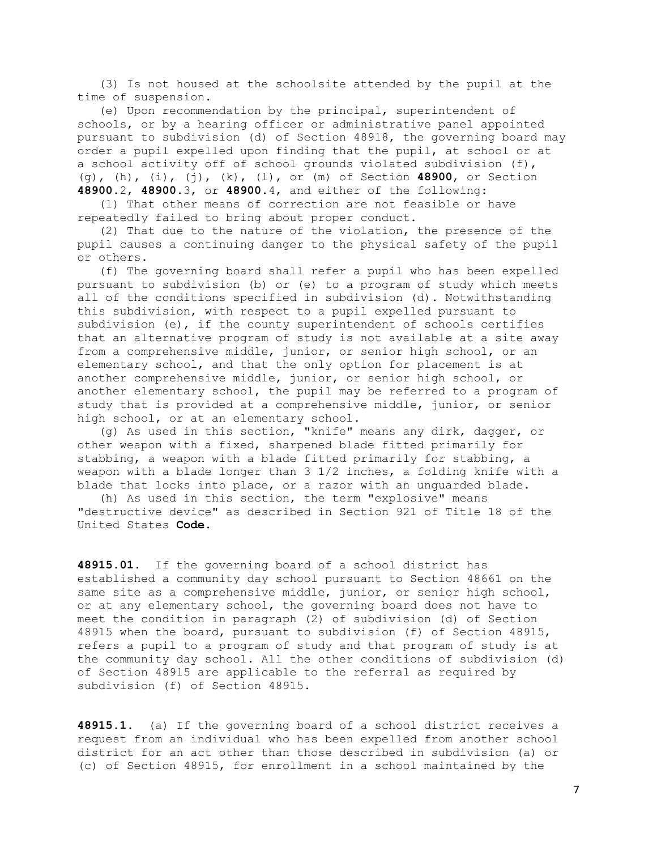(3) Is not housed at the schoolsite attended by the pupil at the time of suspension.

 (e) Upon recommendation by the principal, superintendent of schools, or by a hearing officer or administrative panel appointed pursuant to subdivision (d) of Section 48918, the governing board may order a pupil expelled upon finding that the pupil, at school or at a school activity off of school grounds violated subdivision (f), (g), (h), (i), (j), (k), (l), or (m) of Section **48900**, or Section **48900**.2, **48900**.3, or **48900**.4, and either of the following:

 (1) That other means of correction are not feasible or have repeatedly failed to bring about proper conduct.

 (2) That due to the nature of the violation, the presence of the pupil causes a continuing danger to the physical safety of the pupil or others.

 (f) The governing board shall refer a pupil who has been expelled pursuant to subdivision (b) or (e) to a program of study which meets all of the conditions specified in subdivision (d). Notwithstanding this subdivision, with respect to a pupil expelled pursuant to subdivision (e), if the county superintendent of schools certifies that an alternative program of study is not available at a site away from a comprehensive middle, junior, or senior high school, or an elementary school, and that the only option for placement is at another comprehensive middle, junior, or senior high school, or another elementary school, the pupil may be referred to a program of study that is provided at a comprehensive middle, junior, or senior high school, or at an elementary school.

 (g) As used in this section, "knife" means any dirk, dagger, or other weapon with a fixed, sharpened blade fitted primarily for stabbing, a weapon with a blade fitted primarily for stabbing, a weapon with a blade longer than 3 1/2 inches, a folding knife with a blade that locks into place, or a razor with an unguarded blade.

 (h) As used in this section, the term "explosive" means "destructive device" as described in Section 921 of Title 18 of the United States **Code**.

**48915.01**. If the governing board of a school district has established a community day school pursuant to Section 48661 on the same site as a comprehensive middle, junior, or senior high school, or at any elementary school, the governing board does not have to meet the condition in paragraph (2) of subdivision (d) of Section 48915 when the board, pursuant to subdivision (f) of Section 48915, refers a pupil to a program of study and that program of study is at the community day school. All the other conditions of subdivision (d) of Section 48915 are applicable to the referral as required by subdivision (f) of Section 48915.

**48915.1.** (a) If the governing board of a school district receives a request from an individual who has been expelled from another school district for an act other than those described in subdivision (a) or (c) of Section 48915, for enrollment in a school maintained by the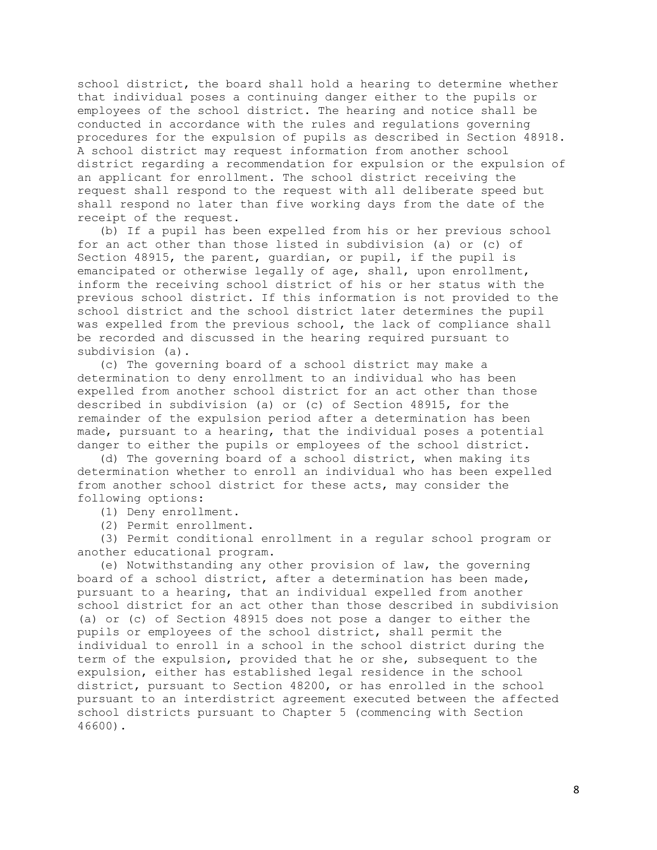school district, the board shall hold a hearing to determine whether that individual poses a continuing danger either to the pupils or employees of the school district. The hearing and notice shall be conducted in accordance with the rules and regulations governing procedures for the expulsion of pupils as described in Section 48918. A school district may request information from another school district regarding a recommendation for expulsion or the expulsion of an applicant for enrollment. The school district receiving the request shall respond to the request with all deliberate speed but shall respond no later than five working days from the date of the receipt of the request.

 (b) If a pupil has been expelled from his or her previous school for an act other than those listed in subdivision (a) or (c) of Section 48915, the parent, guardian, or pupil, if the pupil is emancipated or otherwise legally of age, shall, upon enrollment, inform the receiving school district of his or her status with the previous school district. If this information is not provided to the school district and the school district later determines the pupil was expelled from the previous school, the lack of compliance shall be recorded and discussed in the hearing required pursuant to subdivision (a).

 (c) The governing board of a school district may make a determination to deny enrollment to an individual who has been expelled from another school district for an act other than those described in subdivision (a) or (c) of Section 48915, for the remainder of the expulsion period after a determination has been made, pursuant to a hearing, that the individual poses a potential danger to either the pupils or employees of the school district.

 (d) The governing board of a school district, when making its determination whether to enroll an individual who has been expelled from another school district for these acts, may consider the following options:

(1) Deny enrollment.

(2) Permit enrollment.

 (3) Permit conditional enrollment in a regular school program or another educational program.

 (e) Notwithstanding any other provision of law, the governing board of a school district, after a determination has been made, pursuant to a hearing, that an individual expelled from another school district for an act other than those described in subdivision (a) or (c) of Section 48915 does not pose a danger to either the pupils or employees of the school district, shall permit the individual to enroll in a school in the school district during the term of the expulsion, provided that he or she, subsequent to the expulsion, either has established legal residence in the school district, pursuant to Section 48200, or has enrolled in the school pursuant to an interdistrict agreement executed between the affected school districts pursuant to Chapter 5 (commencing with Section 46600).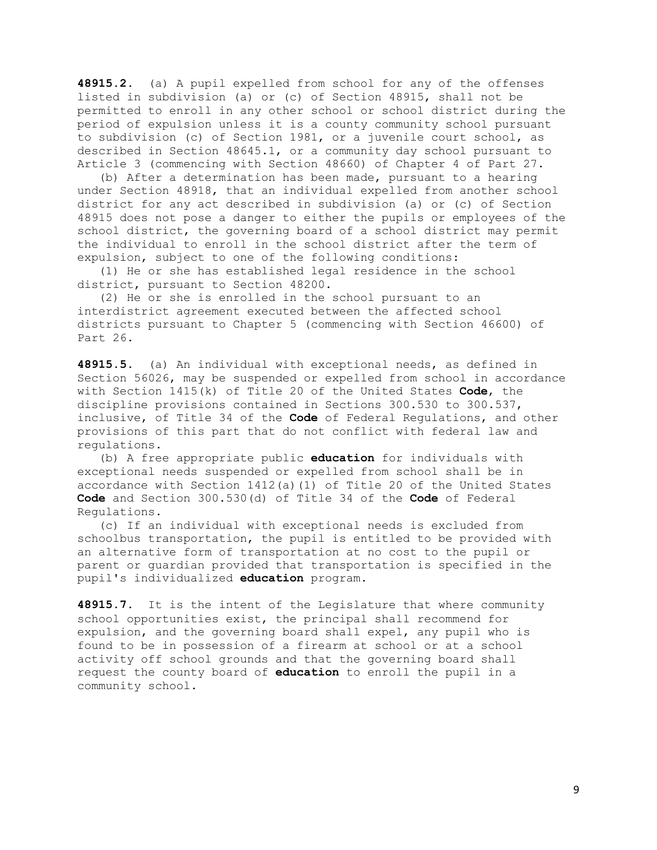**48915.2.** (a) A pupil expelled from school for any of the offenses listed in subdivision (a) or (c) of Section 48915, shall not be permitted to enroll in any other school or school district during the period of expulsion unless it is a county community school pursuant to subdivision (c) of Section 1981, or a juvenile court school, as described in Section 48645.1, or a community day school pursuant to Article 3 (commencing with Section 48660) of Chapter 4 of Part 27.

 (b) After a determination has been made, pursuant to a hearing under Section 48918, that an individual expelled from another school district for any act described in subdivision (a) or (c) of Section 48915 does not pose a danger to either the pupils or employees of the school district, the governing board of a school district may permit the individual to enroll in the school district after the term of expulsion, subject to one of the following conditions:

 (1) He or she has established legal residence in the school district, pursuant to Section 48200.

 (2) He or she is enrolled in the school pursuant to an interdistrict agreement executed between the affected school districts pursuant to Chapter 5 (commencing with Section 46600) of Part 26.

**48915.5.** (a) An individual with exceptional needs, as defined in Section 56026, may be suspended or expelled from school in accordance with Section 1415(k) of Title 20 of the United States **Code**, the discipline provisions contained in Sections 300.530 to 300.537, inclusive, of Title 34 of the **Code** of Federal Regulations, and other provisions of this part that do not conflict with federal law and regulations.

 (b) A free appropriate public **education** for individuals with exceptional needs suspended or expelled from school shall be in accordance with Section 1412(a)(1) of Title 20 of the United States **Code** and Section 300.530(d) of Title 34 of the **Code** of Federal Regulations.

 (c) If an individual with exceptional needs is excluded from schoolbus transportation, the pupil is entitled to be provided with an alternative form of transportation at no cost to the pupil or parent or guardian provided that transportation is specified in the pupil's individualized **education** program.

**48915.7**. It is the intent of the Legislature that where community school opportunities exist, the principal shall recommend for expulsion, and the governing board shall expel, any pupil who is found to be in possession of a firearm at school or at a school activity off school grounds and that the governing board shall request the county board of **education** to enroll the pupil in a community school.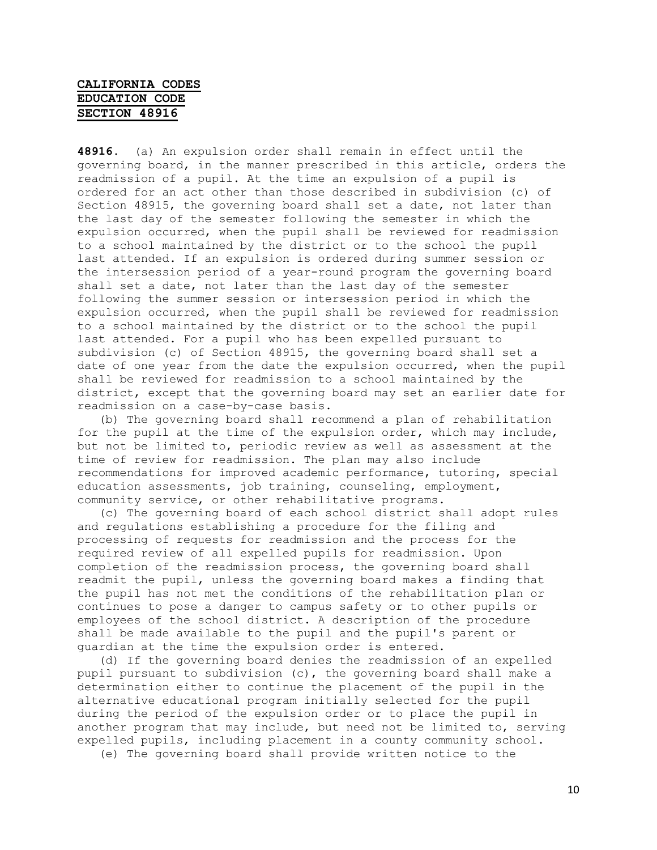## **CALIFORNIA CODES EDUCATION CODE SECTION 48916**

**48916.** (a) An expulsion order shall remain in effect until the governing board, in the manner prescribed in this article, orders the readmission of a pupil. At the time an expulsion of a pupil is ordered for an act other than those described in subdivision (c) of Section 48915, the governing board shall set a date, not later than the last day of the semester following the semester in which the expulsion occurred, when the pupil shall be reviewed for readmission to a school maintained by the district or to the school the pupil last attended. If an expulsion is ordered during summer session or the intersession period of a year-round program the governing board shall set a date, not later than the last day of the semester following the summer session or intersession period in which the expulsion occurred, when the pupil shall be reviewed for readmission to a school maintained by the district or to the school the pupil last attended. For a pupil who has been expelled pursuant to subdivision (c) of Section 48915, the governing board shall set a date of one year from the date the expulsion occurred, when the pupil shall be reviewed for readmission to a school maintained by the district, except that the governing board may set an earlier date for readmission on a case-by-case basis.

 (b) The governing board shall recommend a plan of rehabilitation for the pupil at the time of the expulsion order, which may include, but not be limited to, periodic review as well as assessment at the time of review for readmission. The plan may also include recommendations for improved academic performance, tutoring, special education assessments, job training, counseling, employment, community service, or other rehabilitative programs.

 (c) The governing board of each school district shall adopt rules and regulations establishing a procedure for the filing and processing of requests for readmission and the process for the required review of all expelled pupils for readmission. Upon completion of the readmission process, the governing board shall readmit the pupil, unless the governing board makes a finding that the pupil has not met the conditions of the rehabilitation plan or continues to pose a danger to campus safety or to other pupils or employees of the school district. A description of the procedure shall be made available to the pupil and the pupil's parent or guardian at the time the expulsion order is entered.

 (d) If the governing board denies the readmission of an expelled pupil pursuant to subdivision (c), the governing board shall make a determination either to continue the placement of the pupil in the alternative educational program initially selected for the pupil during the period of the expulsion order or to place the pupil in another program that may include, but need not be limited to, serving expelled pupils, including placement in a county community school.

(e) The governing board shall provide written notice to the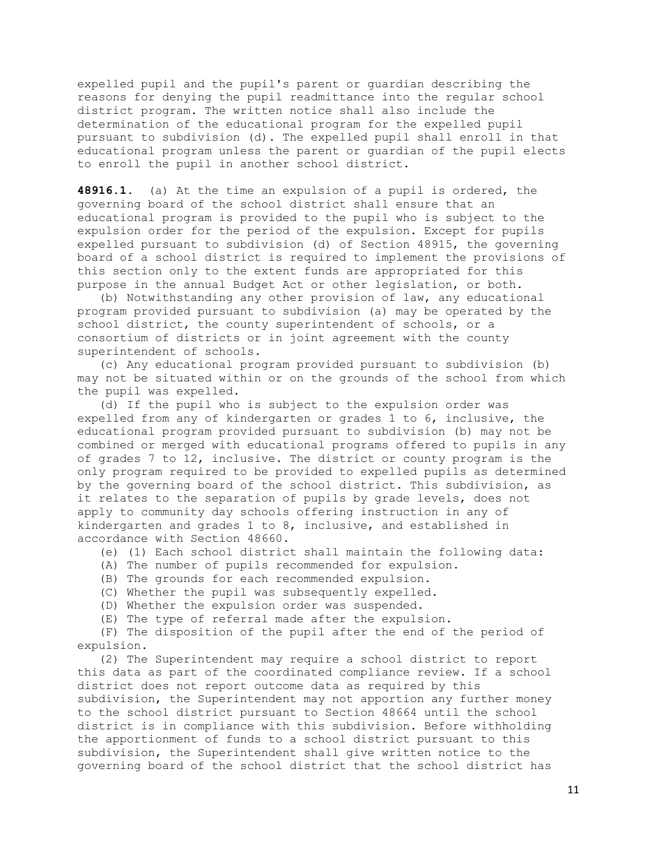expelled pupil and the pupil's parent or guardian describing the reasons for denying the pupil readmittance into the regular school district program. The written notice shall also include the determination of the educational program for the expelled pupil pursuant to subdivision (d). The expelled pupil shall enroll in that educational program unless the parent or guardian of the pupil elects to enroll the pupil in another school district.

**48916.1.** (a) At the time an expulsion of a pupil is ordered, the governing board of the school district shall ensure that an educational program is provided to the pupil who is subject to the expulsion order for the period of the expulsion. Except for pupils expelled pursuant to subdivision (d) of Section 48915, the governing board of a school district is required to implement the provisions of this section only to the extent funds are appropriated for this purpose in the annual Budget Act or other legislation, or both.

 (b) Notwithstanding any other provision of law, any educational program provided pursuant to subdivision (a) may be operated by the school district, the county superintendent of schools, or a consortium of districts or in joint agreement with the county superintendent of schools.

 (c) Any educational program provided pursuant to subdivision (b) may not be situated within or on the grounds of the school from which the pupil was expelled.

 (d) If the pupil who is subject to the expulsion order was expelled from any of kindergarten or grades 1 to 6, inclusive, the educational program provided pursuant to subdivision (b) may not be combined or merged with educational programs offered to pupils in any of grades 7 to 12, inclusive. The district or county program is the only program required to be provided to expelled pupils as determined by the governing board of the school district. This subdivision, as it relates to the separation of pupils by grade levels, does not apply to community day schools offering instruction in any of kindergarten and grades 1 to 8, inclusive, and established in accordance with Section 48660.

(e) (1) Each school district shall maintain the following data:

(A) The number of pupils recommended for expulsion.

(B) The grounds for each recommended expulsion.

(C) Whether the pupil was subsequently expelled.

(D) Whether the expulsion order was suspended.

(E) The type of referral made after the expulsion.

 (F) The disposition of the pupil after the end of the period of expulsion.

 (2) The Superintendent may require a school district to report this data as part of the coordinated compliance review. If a school district does not report outcome data as required by this subdivision, the Superintendent may not apportion any further money to the school district pursuant to Section 48664 until the school district is in compliance with this subdivision. Before withholding the apportionment of funds to a school district pursuant to this subdivision, the Superintendent shall give written notice to the governing board of the school district that the school district has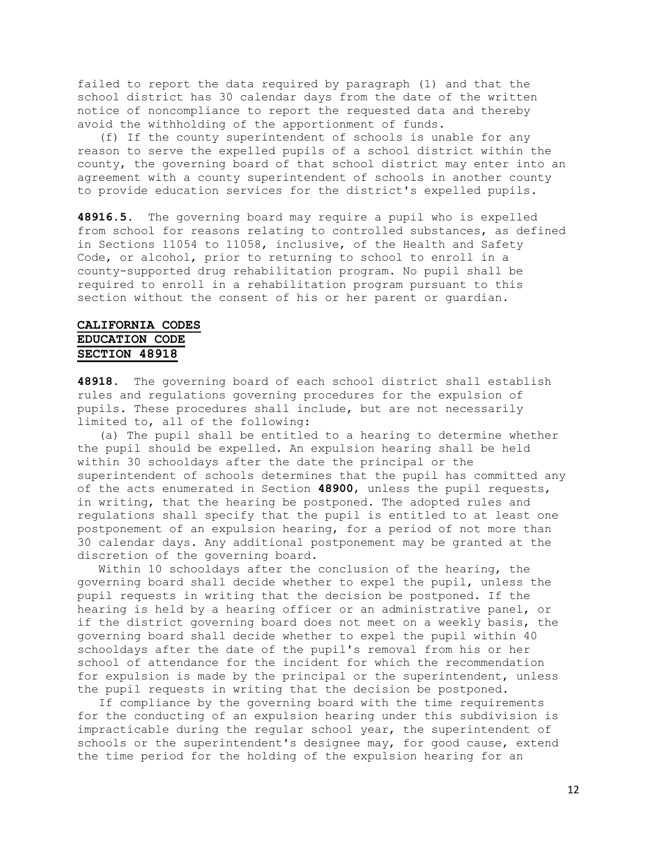failed to report the data required by paragraph (1) and that the school district has 30 calendar days from the date of the written notice of noncompliance to report the requested data and thereby avoid the withholding of the apportionment of funds.

 (f) If the county superintendent of schools is unable for any reason to serve the expelled pupils of a school district within the county, the governing board of that school district may enter into an agreement with a county superintendent of schools in another county to provide education services for the district's expelled pupils.

**48916.5.** The governing board may require a pupil who is expelled from school for reasons relating to controlled substances, as defined in Sections 11054 to 11058, inclusive, of the Health and Safety Code, or alcohol, prior to returning to school to enroll in a county-supported drug rehabilitation program. No pupil shall be required to enroll in a rehabilitation program pursuant to this section without the consent of his or her parent or guardian.

## **CALIFORNIA CODES EDUCATION CODE SECTION 48918**

**48918.** The governing board of each school district shall establish rules and regulations governing procedures for the expulsion of pupils. These procedures shall include, but are not necessarily limited to, all of the following:

 (a) The pupil shall be entitled to a hearing to determine whether the pupil should be expelled. An expulsion hearing shall be held within 30 schooldays after the date the principal or the superintendent of schools determines that the pupil has committed any of the acts enumerated in Section **48900**, unless the pupil requests, in writing, that the hearing be postponed. The adopted rules and regulations shall specify that the pupil is entitled to at least one postponement of an expulsion hearing, for a period of not more than 30 calendar days. Any additional postponement may be granted at the discretion of the governing board.

 Within 10 schooldays after the conclusion of the hearing, the governing board shall decide whether to expel the pupil, unless the pupil requests in writing that the decision be postponed. If the hearing is held by a hearing officer or an administrative panel, or if the district governing board does not meet on a weekly basis, the governing board shall decide whether to expel the pupil within 40 schooldays after the date of the pupil's removal from his or her school of attendance for the incident for which the recommendation for expulsion is made by the principal or the superintendent, unless the pupil requests in writing that the decision be postponed.

 If compliance by the governing board with the time requirements for the conducting of an expulsion hearing under this subdivision is impracticable during the regular school year, the superintendent of schools or the superintendent's designee may, for good cause, extend the time period for the holding of the expulsion hearing for an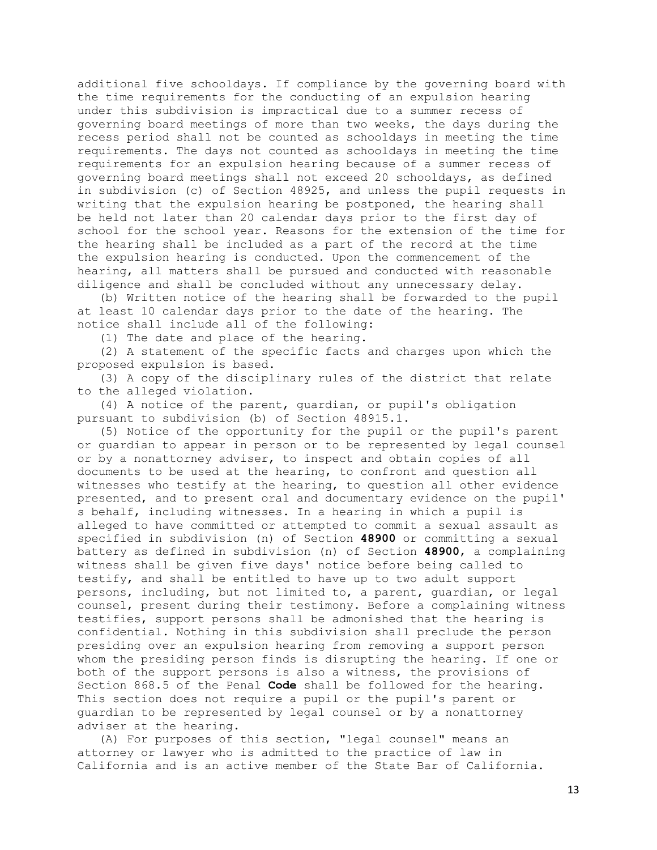additional five schooldays. If compliance by the governing board with the time requirements for the conducting of an expulsion hearing under this subdivision is impractical due to a summer recess of governing board meetings of more than two weeks, the days during the recess period shall not be counted as schooldays in meeting the time requirements. The days not counted as schooldays in meeting the time requirements for an expulsion hearing because of a summer recess of governing board meetings shall not exceed 20 schooldays, as defined in subdivision (c) of Section 48925, and unless the pupil requests in writing that the expulsion hearing be postponed, the hearing shall be held not later than 20 calendar days prior to the first day of school for the school year. Reasons for the extension of the time for the hearing shall be included as a part of the record at the time the expulsion hearing is conducted. Upon the commencement of the hearing, all matters shall be pursued and conducted with reasonable diligence and shall be concluded without any unnecessary delay.

 (b) Written notice of the hearing shall be forwarded to the pupil at least 10 calendar days prior to the date of the hearing. The notice shall include all of the following:

(1) The date and place of the hearing.

 (2) A statement of the specific facts and charges upon which the proposed expulsion is based.

 (3) A copy of the disciplinary rules of the district that relate to the alleged violation.

 (4) A notice of the parent, guardian, or pupil's obligation pursuant to subdivision (b) of Section 48915.1.

 (5) Notice of the opportunity for the pupil or the pupil's parent or guardian to appear in person or to be represented by legal counsel or by a nonattorney adviser, to inspect and obtain copies of all documents to be used at the hearing, to confront and question all witnesses who testify at the hearing, to question all other evidence presented, and to present oral and documentary evidence on the pupil' s behalf, including witnesses. In a hearing in which a pupil is alleged to have committed or attempted to commit a sexual assault as specified in subdivision (n) of Section **48900** or committing a sexual battery as defined in subdivision (n) of Section **48900**, a complaining witness shall be given five days' notice before being called to testify, and shall be entitled to have up to two adult support persons, including, but not limited to, a parent, guardian, or legal counsel, present during their testimony. Before a complaining witness testifies, support persons shall be admonished that the hearing is confidential. Nothing in this subdivision shall preclude the person presiding over an expulsion hearing from removing a support person whom the presiding person finds is disrupting the hearing. If one or both of the support persons is also a witness, the provisions of Section 868.5 of the Penal **Code** shall be followed for the hearing. This section does not require a pupil or the pupil's parent or guardian to be represented by legal counsel or by a nonattorney adviser at the hearing.

 (A) For purposes of this section, "legal counsel" means an attorney or lawyer who is admitted to the practice of law in California and is an active member of the State Bar of California.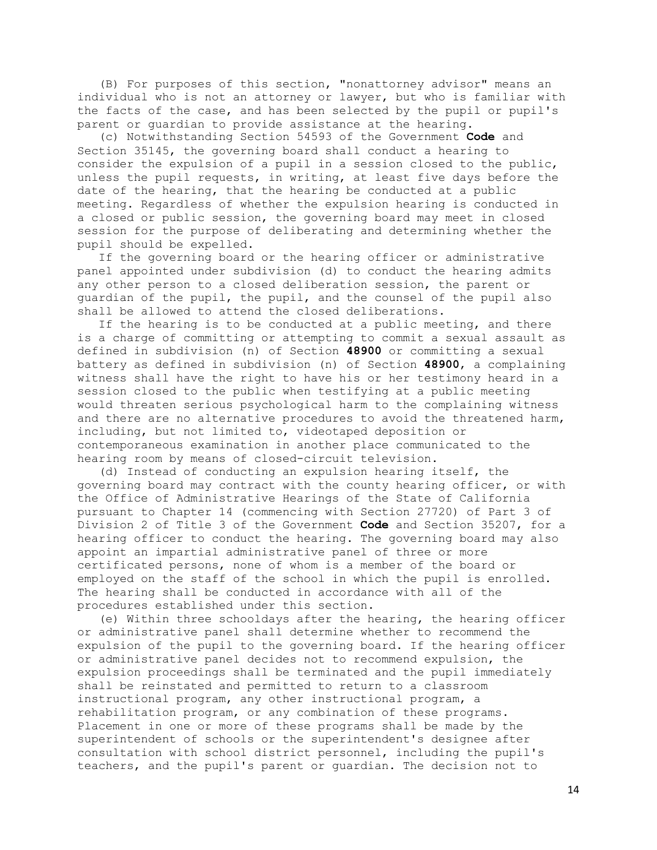(B) For purposes of this section, "nonattorney advisor" means an individual who is not an attorney or lawyer, but who is familiar with the facts of the case, and has been selected by the pupil or pupil's parent or guardian to provide assistance at the hearing.

 (c) Notwithstanding Section 54593 of the Government **Code** and Section 35145, the governing board shall conduct a hearing to consider the expulsion of a pupil in a session closed to the public, unless the pupil requests, in writing, at least five days before the date of the hearing, that the hearing be conducted at a public meeting. Regardless of whether the expulsion hearing is conducted in a closed or public session, the governing board may meet in closed session for the purpose of deliberating and determining whether the pupil should be expelled.

 If the governing board or the hearing officer or administrative panel appointed under subdivision (d) to conduct the hearing admits any other person to a closed deliberation session, the parent or guardian of the pupil, the pupil, and the counsel of the pupil also shall be allowed to attend the closed deliberations.

If the hearing is to be conducted at a public meeting, and there is a charge of committing or attempting to commit a sexual assault as defined in subdivision (n) of Section **48900** or committing a sexual battery as defined in subdivision (n) of Section **48900**, a complaining witness shall have the right to have his or her testimony heard in a session closed to the public when testifying at a public meeting would threaten serious psychological harm to the complaining witness and there are no alternative procedures to avoid the threatened harm, including, but not limited to, videotaped deposition or contemporaneous examination in another place communicated to the hearing room by means of closed-circuit television.

 (d) Instead of conducting an expulsion hearing itself, the governing board may contract with the county hearing officer, or with the Office of Administrative Hearings of the State of California pursuant to Chapter 14 (commencing with Section 27720) of Part 3 of Division 2 of Title 3 of the Government **Code** and Section 35207, for a hearing officer to conduct the hearing. The governing board may also appoint an impartial administrative panel of three or more certificated persons, none of whom is a member of the board or employed on the staff of the school in which the pupil is enrolled. The hearing shall be conducted in accordance with all of the procedures established under this section.

 (e) Within three schooldays after the hearing, the hearing officer or administrative panel shall determine whether to recommend the expulsion of the pupil to the governing board. If the hearing officer or administrative panel decides not to recommend expulsion, the expulsion proceedings shall be terminated and the pupil immediately shall be reinstated and permitted to return to a classroom instructional program, any other instructional program, a rehabilitation program, or any combination of these programs. Placement in one or more of these programs shall be made by the superintendent of schools or the superintendent's designee after consultation with school district personnel, including the pupil's teachers, and the pupil's parent or guardian. The decision not to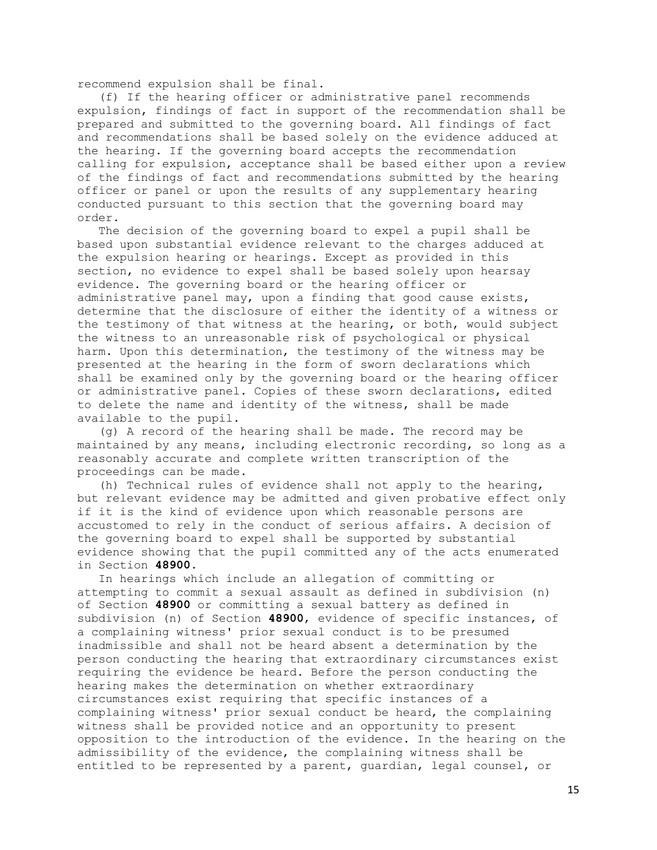recommend expulsion shall be final.

 (f) If the hearing officer or administrative panel recommends expulsion, findings of fact in support of the recommendation shall be prepared and submitted to the governing board. All findings of fact and recommendations shall be based solely on the evidence adduced at the hearing. If the governing board accepts the recommendation calling for expulsion, acceptance shall be based either upon a review of the findings of fact and recommendations submitted by the hearing officer or panel or upon the results of any supplementary hearing conducted pursuant to this section that the governing board may order.

 The decision of the governing board to expel a pupil shall be based upon substantial evidence relevant to the charges adduced at the expulsion hearing or hearings. Except as provided in this section, no evidence to expel shall be based solely upon hearsay evidence. The governing board or the hearing officer or administrative panel may, upon a finding that good cause exists, determine that the disclosure of either the identity of a witness or the testimony of that witness at the hearing, or both, would subject the witness to an unreasonable risk of psychological or physical harm. Upon this determination, the testimony of the witness may be presented at the hearing in the form of sworn declarations which shall be examined only by the governing board or the hearing officer or administrative panel. Copies of these sworn declarations, edited to delete the name and identity of the witness, shall be made available to the pupil.

 (g) A record of the hearing shall be made. The record may be maintained by any means, including electronic recording, so long as a reasonably accurate and complete written transcription of the proceedings can be made.

 (h) Technical rules of evidence shall not apply to the hearing, but relevant evidence may be admitted and given probative effect only if it is the kind of evidence upon which reasonable persons are accustomed to rely in the conduct of serious affairs. A decision of the governing board to expel shall be supported by substantial evidence showing that the pupil committed any of the acts enumerated in Section **48900**.

 In hearings which include an allegation of committing or attempting to commit a sexual assault as defined in subdivision (n) of Section **48900** or committing a sexual battery as defined in subdivision (n) of Section **48900**, evidence of specific instances, of a complaining witness' prior sexual conduct is to be presumed inadmissible and shall not be heard absent a determination by the person conducting the hearing that extraordinary circumstances exist requiring the evidence be heard. Before the person conducting the hearing makes the determination on whether extraordinary circumstances exist requiring that specific instances of a complaining witness' prior sexual conduct be heard, the complaining witness shall be provided notice and an opportunity to present opposition to the introduction of the evidence. In the hearing on the admissibility of the evidence, the complaining witness shall be entitled to be represented by a parent, guardian, legal counsel, or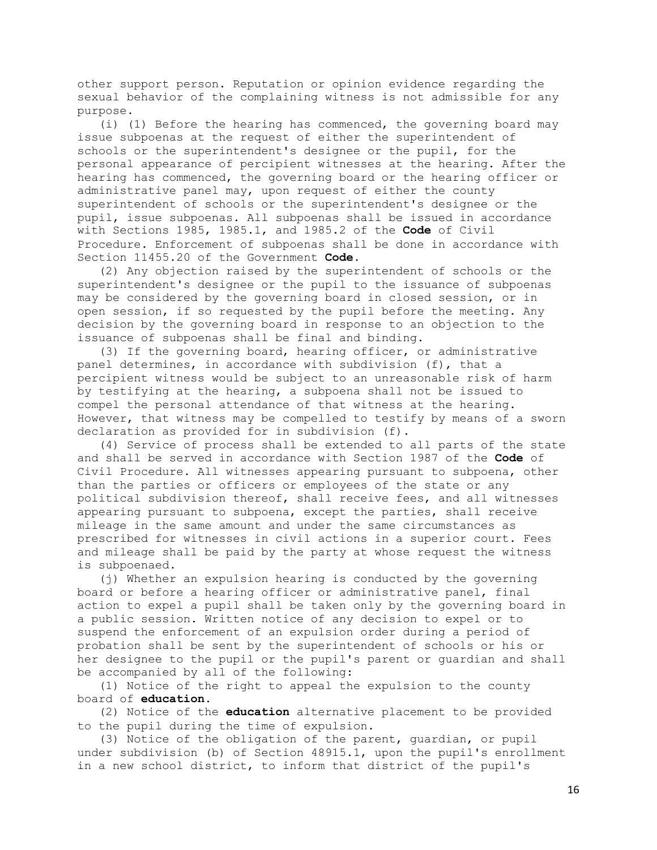other support person. Reputation or opinion evidence regarding the sexual behavior of the complaining witness is not admissible for any purpose.

 (i) (1) Before the hearing has commenced, the governing board may issue subpoenas at the request of either the superintendent of schools or the superintendent's designee or the pupil, for the personal appearance of percipient witnesses at the hearing. After the hearing has commenced, the governing board or the hearing officer or administrative panel may, upon request of either the county superintendent of schools or the superintendent's designee or the pupil, issue subpoenas. All subpoenas shall be issued in accordance with Sections 1985, 1985.1, and 1985.2 of the **Code** of Civil Procedure. Enforcement of subpoenas shall be done in accordance with Section 11455.20 of the Government **Code**.

 (2) Any objection raised by the superintendent of schools or the superintendent's designee or the pupil to the issuance of subpoenas may be considered by the governing board in closed session, or in open session, if so requested by the pupil before the meeting. Any decision by the governing board in response to an objection to the issuance of subpoenas shall be final and binding.

 (3) If the governing board, hearing officer, or administrative panel determines, in accordance with subdivision (f), that a percipient witness would be subject to an unreasonable risk of harm by testifying at the hearing, a subpoena shall not be issued to compel the personal attendance of that witness at the hearing. However, that witness may be compelled to testify by means of a sworn declaration as provided for in subdivision (f).

 (4) Service of process shall be extended to all parts of the state and shall be served in accordance with Section 1987 of the **Code** of Civil Procedure. All witnesses appearing pursuant to subpoena, other than the parties or officers or employees of the state or any political subdivision thereof, shall receive fees, and all witnesses appearing pursuant to subpoena, except the parties, shall receive mileage in the same amount and under the same circumstances as prescribed for witnesses in civil actions in a superior court. Fees and mileage shall be paid by the party at whose request the witness is subpoenaed.

 (j) Whether an expulsion hearing is conducted by the governing board or before a hearing officer or administrative panel, final action to expel a pupil shall be taken only by the governing board in a public session. Written notice of any decision to expel or to suspend the enforcement of an expulsion order during a period of probation shall be sent by the superintendent of schools or his or her designee to the pupil or the pupil's parent or guardian and shall be accompanied by all of the following:

 (1) Notice of the right to appeal the expulsion to the county board of **education**.

 (2) Notice of the **education** alternative placement to be provided to the pupil during the time of expulsion.

 (3) Notice of the obligation of the parent, guardian, or pupil under subdivision (b) of Section 48915.1, upon the pupil's enrollment in a new school district, to inform that district of the pupil's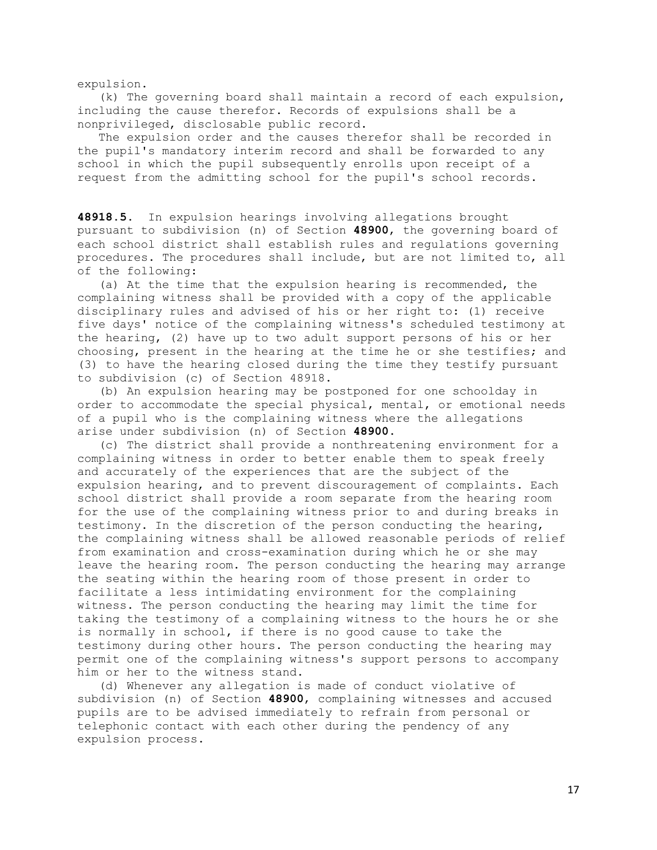expulsion.

 (k) The governing board shall maintain a record of each expulsion, including the cause therefor. Records of expulsions shall be a nonprivileged, disclosable public record.

 The expulsion order and the causes therefor shall be recorded in the pupil's mandatory interim record and shall be forwarded to any school in which the pupil subsequently enrolls upon receipt of a request from the admitting school for the pupil's school records.

**48918.5.** In expulsion hearings involving allegations brought pursuant to subdivision (n) of Section **48900**, the governing board of each school district shall establish rules and regulations governing procedures. The procedures shall include, but are not limited to, all of the following:

 (a) At the time that the expulsion hearing is recommended, the complaining witness shall be provided with a copy of the applicable disciplinary rules and advised of his or her right to: (1) receive five days' notice of the complaining witness's scheduled testimony at the hearing, (2) have up to two adult support persons of his or her choosing, present in the hearing at the time he or she testifies; and (3) to have the hearing closed during the time they testify pursuant to subdivision (c) of Section 48918.

 (b) An expulsion hearing may be postponed for one schoolday in order to accommodate the special physical, mental, or emotional needs of a pupil who is the complaining witness where the allegations arise under subdivision (n) of Section **48900**.

 (c) The district shall provide a nonthreatening environment for a complaining witness in order to better enable them to speak freely and accurately of the experiences that are the subject of the expulsion hearing, and to prevent discouragement of complaints. Each school district shall provide a room separate from the hearing room for the use of the complaining witness prior to and during breaks in testimony. In the discretion of the person conducting the hearing, the complaining witness shall be allowed reasonable periods of relief from examination and cross-examination during which he or she may leave the hearing room. The person conducting the hearing may arrange the seating within the hearing room of those present in order to facilitate a less intimidating environment for the complaining witness. The person conducting the hearing may limit the time for taking the testimony of a complaining witness to the hours he or she is normally in school, if there is no good cause to take the testimony during other hours. The person conducting the hearing may permit one of the complaining witness's support persons to accompany him or her to the witness stand.

 (d) Whenever any allegation is made of conduct violative of subdivision (n) of Section **48900**, complaining witnesses and accused pupils are to be advised immediately to refrain from personal or telephonic contact with each other during the pendency of any expulsion process.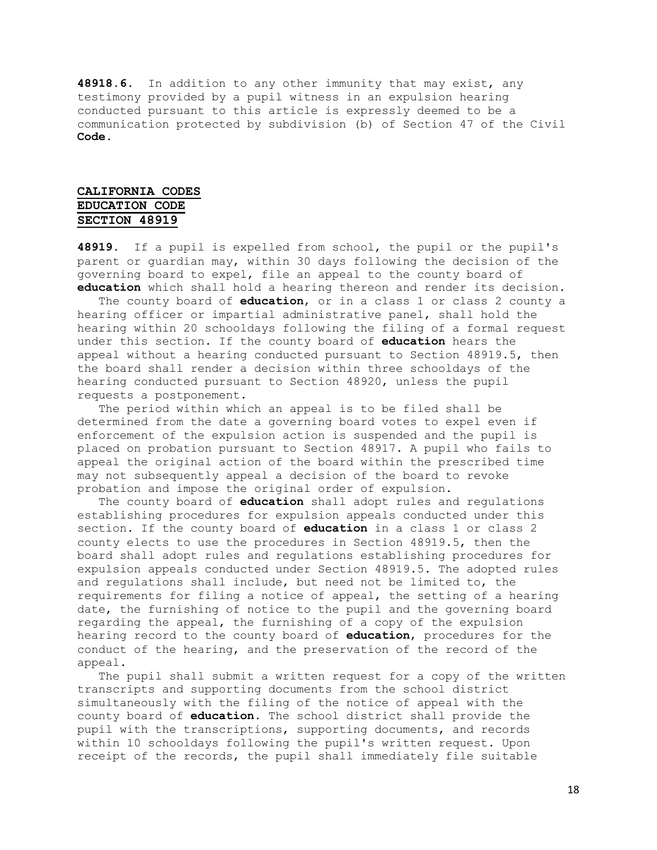**48918.6.** In addition to any other immunity that may exist, any testimony provided by a pupil witness in an expulsion hearing conducted pursuant to this article is expressly deemed to be a communication protected by subdivision (b) of Section 47 of the Civil **Code**.

## **CALIFORNIA CODES EDUCATION CODE SECTION 48919**

**48919.** If a pupil is expelled from school, the pupil or the pupil's parent or guardian may, within 30 days following the decision of the governing board to expel, file an appeal to the county board of **education** which shall hold a hearing thereon and render its decision.

 The county board of **education**, or in a class 1 or class 2 county a hearing officer or impartial administrative panel, shall hold the hearing within 20 schooldays following the filing of a formal request under this section. If the county board of **education** hears the appeal without a hearing conducted pursuant to Section 48919.5, then the board shall render a decision within three schooldays of the hearing conducted pursuant to Section 48920, unless the pupil requests a postponement.

 The period within which an appeal is to be filed shall be determined from the date a governing board votes to expel even if enforcement of the expulsion action is suspended and the pupil is placed on probation pursuant to Section 48917. A pupil who fails to appeal the original action of the board within the prescribed time may not subsequently appeal a decision of the board to revoke probation and impose the original order of expulsion.

 The county board of **education** shall adopt rules and regulations establishing procedures for expulsion appeals conducted under this section. If the county board of **education** in a class 1 or class 2 county elects to use the procedures in Section 48919.5, then the board shall adopt rules and regulations establishing procedures for expulsion appeals conducted under Section 48919.5. The adopted rules and regulations shall include, but need not be limited to, the requirements for filing a notice of appeal, the setting of a hearing date, the furnishing of notice to the pupil and the governing board regarding the appeal, the furnishing of a copy of the expulsion hearing record to the county board of **education**, procedures for the conduct of the hearing, and the preservation of the record of the appeal.

 The pupil shall submit a written request for a copy of the written transcripts and supporting documents from the school district simultaneously with the filing of the notice of appeal with the county board of **education**. The school district shall provide the pupil with the transcriptions, supporting documents, and records within 10 schooldays following the pupil's written request. Upon receipt of the records, the pupil shall immediately file suitable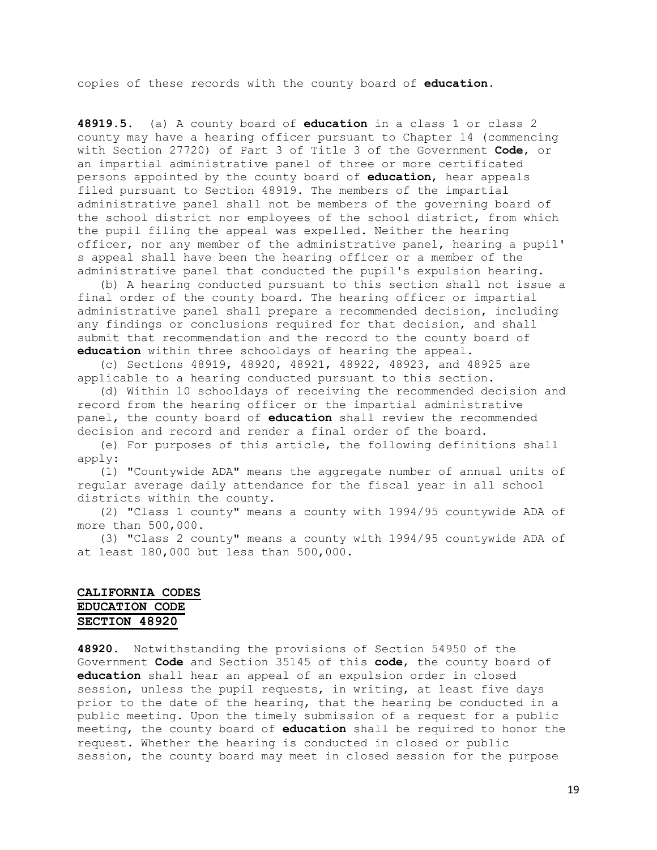copies of these records with the county board of **education**.

**48919.5.** (a) A county board of **education** in a class 1 or class 2 county may have a hearing officer pursuant to Chapter 14 (commencing with Section 27720) of Part 3 of Title 3 of the Government **Code**, or an impartial administrative panel of three or more certificated persons appointed by the county board of **education**, hear appeals filed pursuant to Section 48919. The members of the impartial administrative panel shall not be members of the governing board of the school district nor employees of the school district, from which the pupil filing the appeal was expelled. Neither the hearing officer, nor any member of the administrative panel, hearing a pupil' s appeal shall have been the hearing officer or a member of the administrative panel that conducted the pupil's expulsion hearing.

 (b) A hearing conducted pursuant to this section shall not issue a final order of the county board. The hearing officer or impartial administrative panel shall prepare a recommended decision, including any findings or conclusions required for that decision, and shall submit that recommendation and the record to the county board of **education** within three schooldays of hearing the appeal.

 (c) Sections 48919, 48920, 48921, 48922, 48923, and 48925 are applicable to a hearing conducted pursuant to this section.

 (d) Within 10 schooldays of receiving the recommended decision and record from the hearing officer or the impartial administrative panel, the county board of **education** shall review the recommended decision and record and render a final order of the board.

 (e) For purposes of this article, the following definitions shall apply:

 (1) "Countywide ADA" means the aggregate number of annual units of regular average daily attendance for the fiscal year in all school districts within the county.

 (2) "Class 1 county" means a county with 1994/95 countywide ADA of more than 500,000.

 (3) "Class 2 county" means a county with 1994/95 countywide ADA of at least 180,000 but less than 500,000.

#### **CALIFORNIA CODES EDUCATION CODE SECTION 48920**

**48920.** Notwithstanding the provisions of Section 54950 of the Government **Code** and Section 35145 of this **code**, the county board of **education** shall hear an appeal of an expulsion order in closed session, unless the pupil requests, in writing, at least five days prior to the date of the hearing, that the hearing be conducted in a public meeting. Upon the timely submission of a request for a public meeting, the county board of **education** shall be required to honor the request. Whether the hearing is conducted in closed or public session, the county board may meet in closed session for the purpose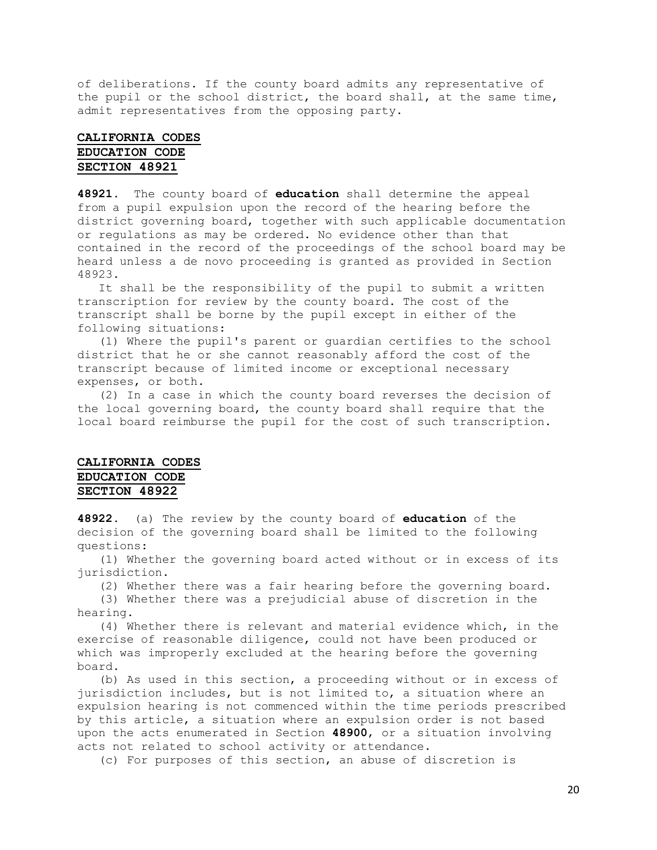of deliberations. If the county board admits any representative of the pupil or the school district, the board shall, at the same time, admit representatives from the opposing party.

## **CALIFORNIA CODES EDUCATION CODE SECTION 48921**

**48921.** The county board of **education** shall determine the appeal from a pupil expulsion upon the record of the hearing before the district governing board, together with such applicable documentation or regulations as may be ordered. No evidence other than that contained in the record of the proceedings of the school board may be heard unless a de novo proceeding is granted as provided in Section 48923.

 It shall be the responsibility of the pupil to submit a written transcription for review by the county board. The cost of the transcript shall be borne by the pupil except in either of the following situations:

 (1) Where the pupil's parent or guardian certifies to the school district that he or she cannot reasonably afford the cost of the transcript because of limited income or exceptional necessary expenses, or both.

 (2) In a case in which the county board reverses the decision of the local governing board, the county board shall require that the local board reimburse the pupil for the cost of such transcription.

## **CALIFORNIA CODES EDUCATION CODE SECTION 48922**

**48922.** (a) The review by the county board of **education** of the decision of the governing board shall be limited to the following questions:

 (1) Whether the governing board acted without or in excess of its jurisdiction.

(2) Whether there was a fair hearing before the governing board.

 (3) Whether there was a prejudicial abuse of discretion in the hearing.

 (4) Whether there is relevant and material evidence which, in the exercise of reasonable diligence, could not have been produced or which was improperly excluded at the hearing before the governing board.

 (b) As used in this section, a proceeding without or in excess of jurisdiction includes, but is not limited to, a situation where an expulsion hearing is not commenced within the time periods prescribed by this article, a situation where an expulsion order is not based upon the acts enumerated in Section **48900**, or a situation involving acts not related to school activity or attendance.

(c) For purposes of this section, an abuse of discretion is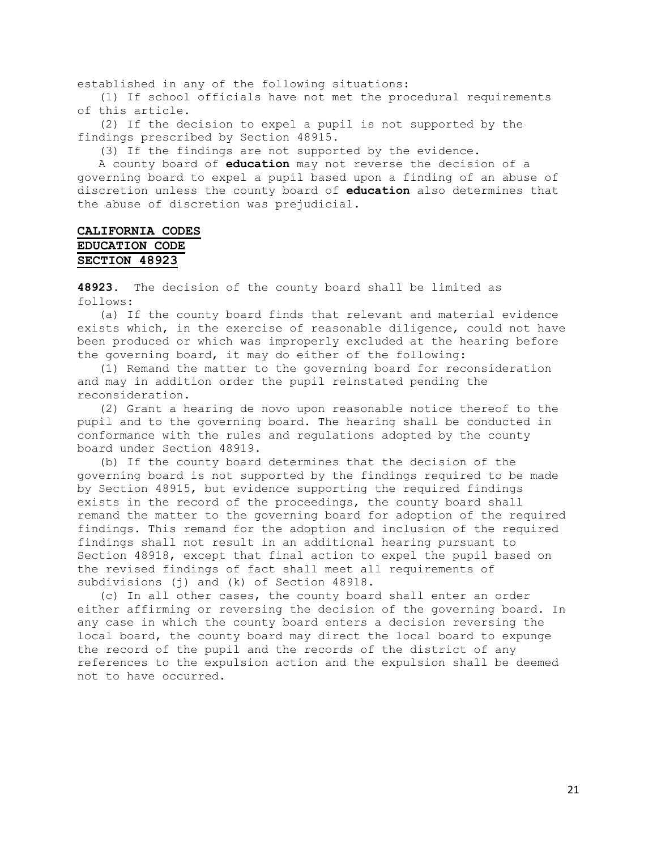established in any of the following situations:

 (1) If school officials have not met the procedural requirements of this article.

 (2) If the decision to expel a pupil is not supported by the findings prescribed by Section 48915.

(3) If the findings are not supported by the evidence.

 A county board of **education** may not reverse the decision of a governing board to expel a pupil based upon a finding of an abuse of discretion unless the county board of **education** also determines that the abuse of discretion was prejudicial.

## **CALIFORNIA CODES EDUCATION CODE SECTION 48923**

**48923.** The decision of the county board shall be limited as follows:

 (a) If the county board finds that relevant and material evidence exists which, in the exercise of reasonable diligence, could not have been produced or which was improperly excluded at the hearing before the governing board, it may do either of the following:

 (1) Remand the matter to the governing board for reconsideration and may in addition order the pupil reinstated pending the reconsideration.

 (2) Grant a hearing de novo upon reasonable notice thereof to the pupil and to the governing board. The hearing shall be conducted in conformance with the rules and regulations adopted by the county board under Section 48919.

 (b) If the county board determines that the decision of the governing board is not supported by the findings required to be made by Section 48915, but evidence supporting the required findings exists in the record of the proceedings, the county board shall remand the matter to the governing board for adoption of the required findings. This remand for the adoption and inclusion of the required findings shall not result in an additional hearing pursuant to Section 48918, except that final action to expel the pupil based on the revised findings of fact shall meet all requirements of subdivisions (j) and (k) of Section 48918.

 (c) In all other cases, the county board shall enter an order either affirming or reversing the decision of the governing board. In any case in which the county board enters a decision reversing the local board, the county board may direct the local board to expunge the record of the pupil and the records of the district of any references to the expulsion action and the expulsion shall be deemed not to have occurred.